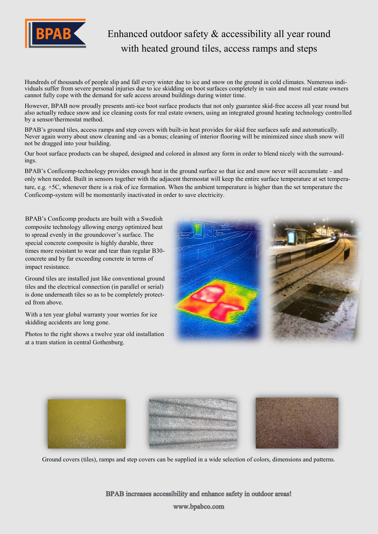

## Enhanced outdoor safety & accessibility all year round with heated ground tiles, access ramps and steps

Hundreds of thousands of people slip and fall every winter due to ice and snow on the ground in cold climates. Numerous individuals suffer from severe personal injuries due to ice skidding on boot surfaces completely in vain and most real estate owners cannot fully cope with the demand for safe access around buildings during winter time.

However, BPAB now proudly presents anti-ice boot surface products that not only guarantee skid-free access all year round but also actually reduce snow and ice cleaning costs for real estate owners, using an integrated ground heating technology controlled by a sensor/thermostat method.

BPAB's ground tiles, access ramps and step covers with built-in heat provides for skid free surfaces safe and automatically. Never again worry about snow cleaning and -as a bonus; cleaning of interior flooring will be minimized since slush snow will not be dragged into your building.

Our boot surface products can be shaped, designed and colored in almost any form in order to blend nicely with the surroundings.

BPAB's Conficomp-technology provides enough heat in the ground surface so that ice and snow never will accumulate - and only when needed. Built in sensors together with the adjacent thermostat will keep the entire surface temperature at set temperature, e.g. +5C, whenever there is a risk of ice formation. When the ambient temperature is higher than the set temperature the Conficomp-system will be momentarily inactivated in order to save electricity.

BPAB's Conficomp products are built with a Swedish composite technology allowing energy optimized heat to spread evenly in the groundcover's surface. The special concrete composite is highly durable, three times more resistant to wear and tear than regular B30 concrete and by far exceeding concrete in terms of impact resistance.

Ground tiles are installed just like conventional ground tiles and the electrical connection (in parallel or serial) is done underneath tiles so as to be completely protected from above.

With a ten year global warranty your worries for ice skidding accidents are long gone.

Photos to the right shows a twelve year old installation at a tram station in central Gothenburg.





Ground covers (tiles), ramps and step covers can be supplied in a wide selection of colors, dimensions and patterns.

BPAB increases accessibility and enhance safety in outdoor areas!

www.bpabco.com